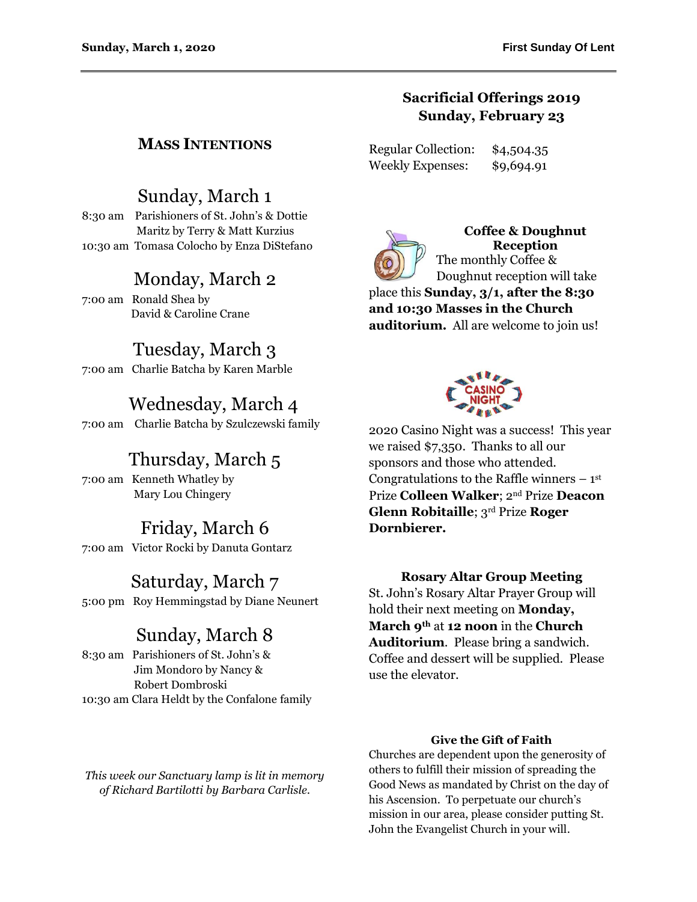### **Sacrificial Offerings 2019 Sunday, February 23**

Regular Collection: \$4,504.35 Weekly Expenses: \$9,694.91



**Coffee & Doughnut Reception** The monthly Coffee & Doughnut reception will take

place this **Sunday, 3/1, after the 8:30 and 10:30 Masses in the Church auditorium.** All are welcome to join us!



2020 Casino Night was a success! This year we raised \$7,350. Thanks to all our sponsors and those who attended. Congratulations to the Raffle winners  $-1<sup>st</sup>$ Prize **Colleen Walker**; 2nd Prize **Deacon Glenn Robitaille**; 3rd Prize **Roger Dornbierer.**

### **Rosary Altar Group Meeting**

St. John's Rosary Altar Prayer Group will hold their next meeting on **Monday, March 9th** at **12 noon** in the **Church Auditorium**. Please bring a sandwich. Coffee and dessert will be supplied. Please use the elevator.

#### **Give the Gift of Faith**

Churches are dependent upon the generosity of others to fulfill their mission of spreading the Good News as mandated by Christ on the day of his Ascension. To perpetuate our church's mission in our area, please consider putting St. John the Evangelist Church in your will.

### **MASS INTENTIONS**

## Sunday, March 1

8:30 am Parishioners of St. John's & Dottie Maritz by Terry & Matt Kurzius 10:30 am Tomasa Colocho by Enza DiStefano

# Monday, March 2

7:00 am Ronald Shea by David & Caroline Crane

# Tuesday, March 3

7:00 am Charlie Batcha by Karen Marble

# Wednesday, March 4

7:00 am Charlie Batcha by Szulczewski family

# Thursday, March 5

7:00 am Kenneth Whatley by Mary Lou Chingery

# Friday, March 6

7:00 am Victor Rocki by Danuta Gontarz

# Saturday, March 7

5:00 pm Roy Hemmingstad by Diane Neunert

# Sunday, March 8

8:30 am Parishioners of St. John's & Jim Mondoro by Nancy & Robert Dombroski 10:30 am Clara Heldt by the Confalone family

*This week our Sanctuary lamp is lit in memory of Richard Bartilotti by Barbara Carlisle.*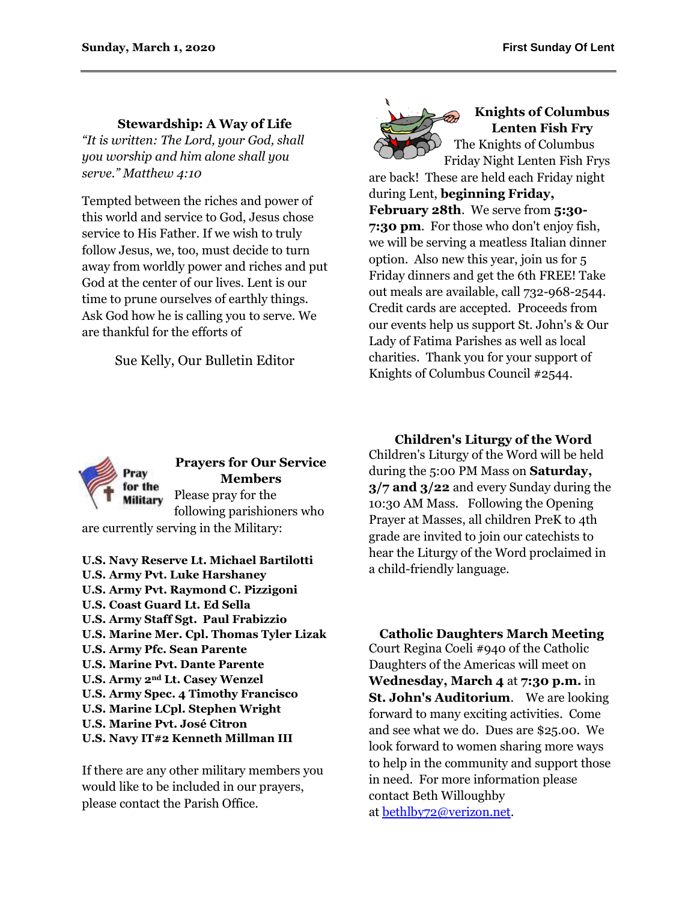### **Stewardship: A Way of Life**

*"It is written: The Lord, your God, shall you worship and him alone shall you serve." Matthew 4:10*

Tempted between the riches and power of this world and service to God, Jesus chose service to His Father. If we wish to truly follow Jesus, we, too, must decide to turn away from worldly power and riches and put God at the center of our lives. Lent is our time to prune ourselves of earthly things. Ask God how he is calling you to serve. We are thankful for the efforts of

Sue Kelly, Our Bulletin Editor



#### **Knights of Columbus Lenten Fish Fry** The Knights of Columbus

Friday Night Lenten Fish Frys are back! These are held each Friday night during Lent, **beginning Friday, February 28th**. We serve from **5:30- 7:30 pm**. For those who don't enjoy fish, we will be serving a meatless Italian dinner option. Also new this year, join us for 5 Friday dinners and get the 6th FREE! Take out meals are available, call 732-968-2544. Credit cards are accepted. Proceeds from our events help us support St. John's & Our Lady of Fatima Parishes as well as local charities. Thank you for your support of Knights of Columbus Council #2544.



### **Prayers for Our Service Members** Please pray for the following parishioners who

are currently serving in the Military:

**U.S. Navy Reserve Lt. Michael Bartilotti U.S. Army Pvt. Luke Harshaney U.S. Army Pvt. Raymond C. Pizzigoni U.S. Coast Guard Lt. Ed Sella U.S. Army Staff Sgt. Paul Frabizzio U.S. Marine Mer. Cpl. Thomas Tyler Lizak U.S. Army Pfc. Sean Parente U.S. Marine Pvt. Dante Parente U.S. Army 2nd Lt. Casey Wenzel U.S. Army Spec. 4 Timothy Francisco U.S. Marine LCpl. Stephen Wright U.S. Marine Pvt. José Citron U.S. Navy IT#2 Kenneth Millman III**

If there are any other military members you would like to be included in our prayers, please contact the Parish Office.

**Children's Liturgy of the Word** Children's Liturgy of the Word will be held during the 5:00 PM Mass on **Saturday, 3/7 and 3/22** and every Sunday during the 10:30 AM Mass. Following the Opening Prayer at Masses, all children PreK to 4th grade are invited to join our catechists to hear the Liturgy of the Word proclaimed in a child-friendly language.

**Catholic Daughters March Meeting** Court Regina Coeli #940 of the Catholic Daughters of the Americas will meet on **Wednesday, March 4** at **7:30 p.m.** in **St. John's Auditorium**. We are looking forward to many exciting activities. Come and see what we do. Dues are \$25.00. We look forward to women sharing more ways to help in the community and support those in need. For more information please contact Beth Willoughby at [bethlby72@verizon.net.](mailto:bethlby72@verizon.net)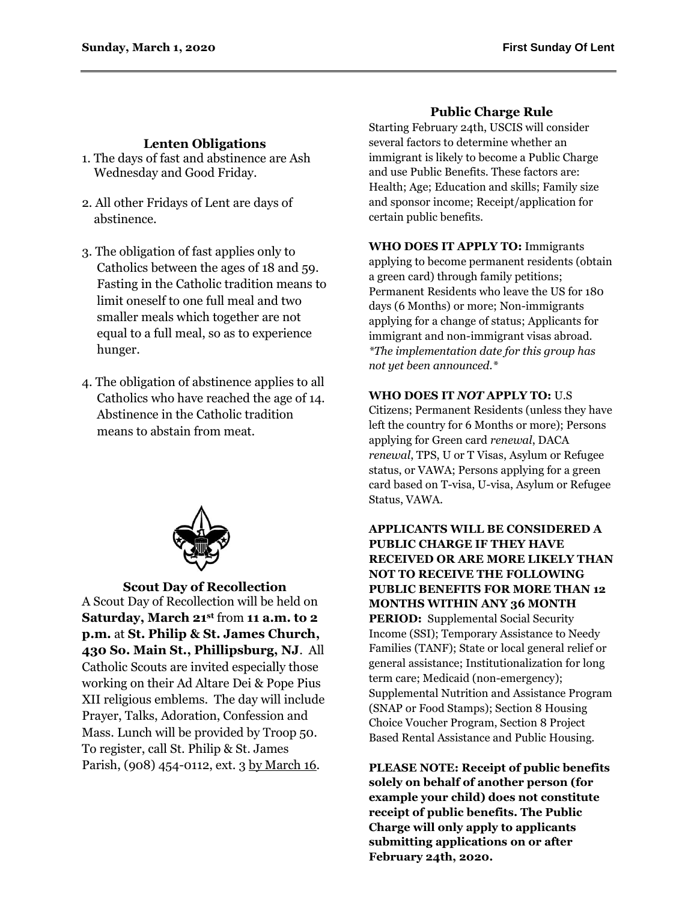### **Lenten Obligations**

- 1. The days of fast and abstinence are Ash Wednesday and Good Friday.
- 2. All other Fridays of Lent are days of abstinence.
- 3. The obligation of fast applies only to Catholics between the ages of 18 and 59. Fasting in the Catholic tradition means to limit oneself to one full meal and two smaller meals which together are not equal to a full meal, so as to experience hunger.
- 4. The obligation of abstinence applies to all Catholics who have reached the age of 14. Abstinence in the Catholic tradition means to abstain from meat.



**Scout Day of Recollection** A Scout Day of Recollection will be held on **Saturday, March 21st** from **11 a.m. to 2 p.m.** at **St. Philip & St. James Church, 430 So. Main St., Phillipsburg, NJ**. All Catholic Scouts are invited especially those working on their Ad Altare Dei & Pope Pius XII religious emblems. The day will include Prayer, Talks, Adoration, Confession and Mass. Lunch will be provided by Troop 50. To register, call St. Philip & St. James Parish, (908) 454-0112, ext. 3 by March 16.

#### **Public Charge Rule**

Starting February 24th, USCIS will consider several factors to determine whether an immigrant is likely to become a Public Charge and use Public Benefits. These factors are: Health; Age; Education and skills; Family size and sponsor income; Receipt/application for certain public benefits.

**WHO DOES IT APPLY TO:** Immigrants applying to become permanent residents (obtain a green card) through family petitions; Permanent Residents who leave the US for 180 days (6 Months) or more; Non-immigrants applying for a change of status; Applicants for immigrant and non-immigrant visas abroad. *\*The implementation date for this group has not yet been announced.\** 

#### **WHO DOES IT** *NOT* **APPLY TO:** U.S

Citizens; Permanent Residents (unless they have left the country for 6 Months or more); Persons applying for Green card *renewal*, DACA *renewal*, TPS, U or T Visas, Asylum or Refugee status, or VAWA; Persons applying for a green card based on T-visa, U-visa, Asylum or Refugee Status, VAWA.

**APPLICANTS WILL BE CONSIDERED A PUBLIC CHARGE IF THEY HAVE RECEIVED OR ARE MORE LIKELY THAN NOT TO RECEIVE THE FOLLOWING PUBLIC BENEFITS FOR MORE THAN 12 MONTHS WITHIN ANY 36 MONTH PERIOD:** Supplemental Social Security Income (SSI); Temporary Assistance to Needy Families (TANF); State or local general relief or general assistance; Institutionalization for long term care; Medicaid (non-emergency); Supplemental Nutrition and Assistance Program (SNAP or Food Stamps); Section 8 Housing Choice Voucher Program, Section 8 Project Based Rental Assistance and Public Housing.

**PLEASE NOTE: Receipt of public benefits solely on behalf of another person (for example your child) does not constitute receipt of public benefits. The Public Charge will only apply to applicants submitting applications on or after February 24th, 2020.**